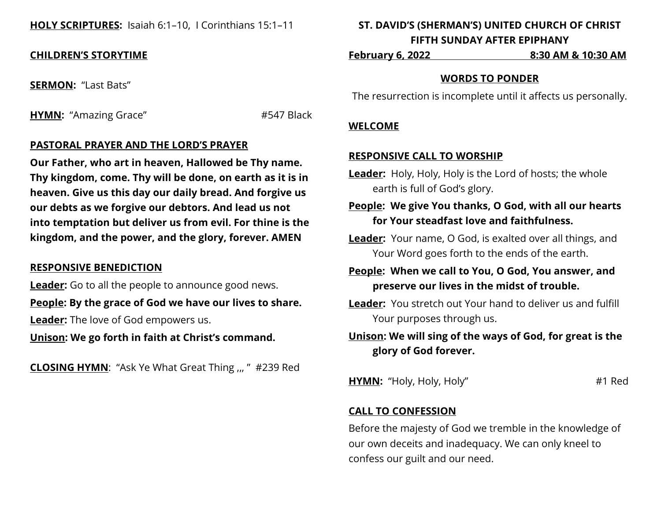## **HOLY SCRIPTURES:** Isaiah 6:1–10, I Corinthians 15:1–11

## **CHILDREN'S STORYTIME**

**SERMON:** "Last Bats"

**HYMN:** "Amazing Grace" #547 Black

## **PASTORAL PRAYER AND THE LORD'S PRAYER**

**Our Father, who art in heaven, Hallowed be Thy name. Thy kingdom, come. Thy will be done, on earth as it is in heaven. Give us this day our daily bread. And forgive us our debts as we forgive our debtors. And lead us not into temptation but deliver us from evil. For thine is the kingdom, and the power, and the glory, forever. AMEN**

### **RESPONSIVE BENEDICTION**

**Leader:** Go to all the people to announce good news.

**People: By the grace of God we have our lives to share.**

**Leader:** The love of God empowers us.

**Unison: We go forth in faith at Christ's command.**

**CLOSING HYMN**: "Ask Ye What Great Thing ,,, " #239 Red

# **ST. DAVID'S (SHERMAN'S) UNITED CHURCH OF CHRIST FIFTH SUNDAY AFTER EPIPHANY**

**February 6, 2022 8:30 AM & 10:30 AM**

### **WORDS TO PONDER**

The resurrection is incomplete until it affects us personally.

### **WELCOME**

### **RESPONSIVE CALL TO WORSHIP**

- **Leader:** Holy, Holy, Holy is the Lord of hosts; the whole earth is full of God's glory.
- **People: We give You thanks, O God, with all our hearts for Your steadfast love and faithfulness.**
- **Leader:** Your name, O God, is exalted over all things, and Your Word goes forth to the ends of the earth.

**People: When we call to You, O God, You answer, and preserve our lives in the midst of trouble.**

**Leader:** You stretch out Your hand to deliver us and fulfill Your purposes through us.

# **Unison: We will sing of the ways of God, for great is the glory of God forever.**

**HYMN:** "Holy, Holy, Holy"  $\#1$  Red

## **CALL TO CONFESSION**

Before the majesty of God we tremble in the knowledge of our own deceits and inadequacy. We can only kneel to confess our guilt and our need.